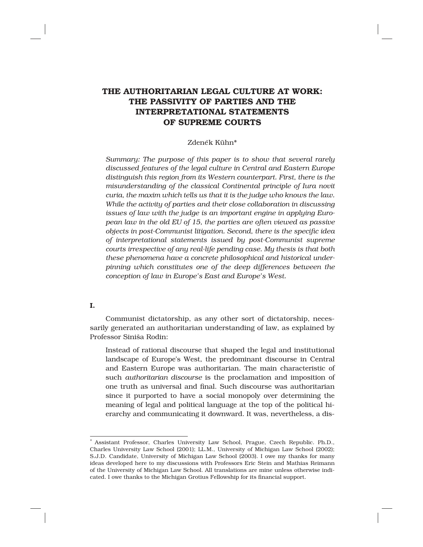# THE AUTHORITARIAN LEGAL CULTURE AT WORK: THE PASSIVITY OF PARTIES AND THE INTERPRETATIONAL STATEMENTS OF SUPREME COURTS

# Zdeněk Kühn\*

Summary: The purpose of this paper is to show that several rarely *discussed features of the legal culture in Central and Eastern Europe distinguish this region from its Western counterpart. First, there is the misunderstanding of the classical Continental principle of Iura novit curia, the maxim which tells us that it is the judge who knows the law. While the activity of parties and their close collaboration in discussing issues of law with the judge is an important engine in applying European law in the old EU of 15, the parties are often viewed as passive objects in post-Communist litigation. Second, there is the specific idea of interpretational statements issued by post-Communist supreme courts irrespective of any real-life pending case. My thesis is that both these phenomena have a concrete philosophical and historical underpinning which constitutes one of the deep differences between the conception of law in Europe's East and Europe's West.* 

# I.

Communist dictatorship, as any other sort of dictatorship, necessarily generated an authoritarian understanding of law, as explained by Professor Siniša Rodin:

Instead of rational discourse that shaped the legal and institutional landscape of Europe's West, the predominant discourse in Central and Eastern Europe was authoritarian. The main characteristic of such *authoritarian discourse* is the proclamation and imposition of one truth as universal and final. Such discourse was authoritarian since it purported to have a social monopoly over determining the meaning of legal and political language at the top of the political hierarchy and communicating it downward. It was, nevertheless, a dis-

<sup>∗</sup> Assistant Professor, Charles University Law School, Prague, Czech Republic. Ph.D., Charles University Law School (2001); LL.M., University of Michigan Law School (2002); S.J.D. Candidate, University of Michigan Law School (2003). I owe my thanks for many ideas developed here to my discussions with Professors Eric Stein and Mathias Reimann of the University of Michigan Law School. All translations are mine unless otherwise indicated. I owe thanks to the Michigan Grotius Fellowship for its financial support.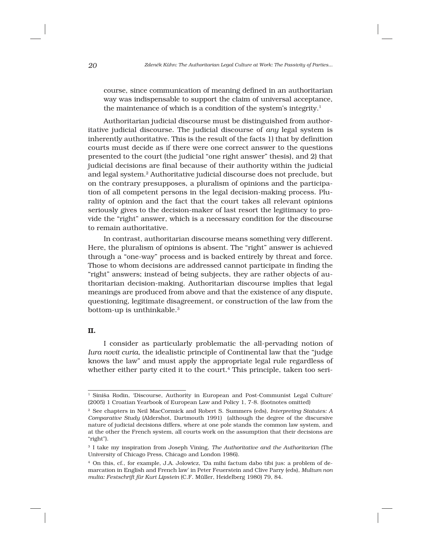*20 Zdeneˇk Kühn: The Authoritarian Legal Culture at Work: The Passivity of Parties...*

course, since communication of meaning defined in an authoritarian way was indispensable to support the claim of universal acceptance, the maintenance of which is a condition of the system's integrity.<sup>1</sup>

Authoritarian judicial discourse must be distinguished from authoritative judicial discourse. The judicial discourse of *any* legal system is inherently authoritative. This is the result of the facts 1) that by definition courts must decide as if there were one correct answer to the questions presented to the court (the judicial "one right answer" thesis), and 2) that judicial decisions are final because of their authority within the judicial and legal system.<sup>2</sup> Authoritative judicial discourse does not preclude, but on the contrary presupposes, a pluralism of opinions and the participation of all competent persons in the legal decision-making process. Plurality of opinion and the fact that the court takes all relevant opinions seriously gives to the decision-maker of last resort the legitimacy to provide the "right" answer, which is a necessary condition for the discourse to remain authoritative.

In contrast, authoritarian discourse means something very different. Here, the pluralism of opinions is absent. The "right" answer is achieved through a "one-way" process and is backed entirely by threat and force. Those to whom decisions are addressed cannot participate in finding the "right" answers; instead of being subjects, they are rather objects of authoritarian decision-making. Authoritarian discourse implies that legal meanings are produced from above and that the existence of any dispute, questioning, legitimate disagreement, or construction of the law from the bottom-up is unthinkable.<sup>3</sup>

## II.

I consider as particularly problematic the all-pervading notion of *Iura novit curia*, the idealistic principle of Continental law that the "judge knows the law" and must apply the appropriate legal rule regardless of whether either party cited it to the court.<sup>4</sup> This principle, taken too seri-

<sup>1</sup> Siniša Rodin, 'Discourse, Authority in European and Post-Communist Legal Culture' (2005) 1 Croatian Yearbook of European Law and Policy 1, 7-8. (footnotes omitted)

<sup>2</sup> See chapters in Neil MacCormick and Robert S. Summers (eds), *Interpreting Statutes: A Comparative Study* (Aldershot, Dartmouth 1991) (although the degree of the discursive nature of judicial decisions differs, where at one pole stands the common law system, and at the other the French system, all courts work on the assumption that their decisions are "right").

<sup>3</sup> I take my inspiration from Joseph Vining, *The Authoritative and the Authoritarian* (The University of Chicago Press, Chicago and London 1986).

<sup>4</sup> On this, cf., for example, J.A. Jolowicz, 'Da mihi factum dabo tibi jus: a problem of demarcation in English and French law' in Peter Feuerstein and Clive Parry (eds), *Multum non multa: Festschrift für Kurt Lipstein* (C.F. Müller, Heidelberg 1980) 79, 84.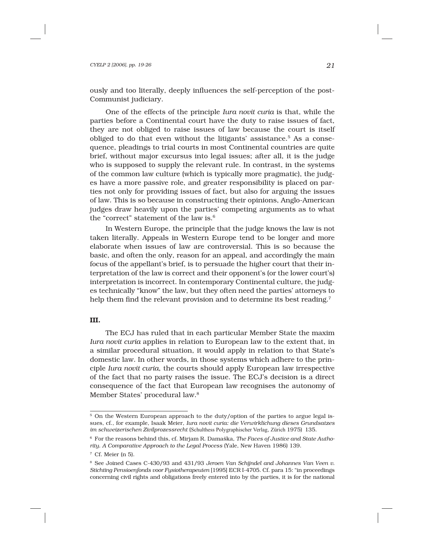#### *CYELP 2 [2006], pp. 19-26 21*

ously and too literally, deeply influences the self-perception of the post-Communist judiciary.

One of the effects of the principle *Iura novit curia* is that, while the parties before a Continental court have the duty to raise issues of fact, they are not obliged to raise issues of law because the court is itself obliged to do that even without the litigants' assistance.<sup>5</sup> As a consequence, pleadings to trial courts in most Continental countries are quite brief, without major excursus into legal issues; after all, it is the judge who is supposed to supply the relevant rule. In contrast, in the systems of the common law culture (which is typically more pragmatic), the judges have a more passive role, and greater responsibility is placed on parties not only for providing issues of fact, but also for arguing the issues of law. This is so because in constructing their opinions, Anglo-American judges draw heavily upon the parties' competing arguments as to what the "correct" statement of the law is.<sup>6</sup>

In Western Europe, the principle that the judge knows the law is not taken literally. Appeals in Western Europe tend to be longer and more elaborate when issues of law are controversial. This is so because the basic, and often the only, reason for an appeal, and accordingly the main focus of the appellant's brief, is to persuade the higher court that their interpretation of the law is correct and their opponent's (or the lower court's) interpretation is incorrect. In contemporary Continental culture, the judges technically "know" the law, but they often need the parties' attorneys to help them find the relevant provision and to determine its best reading.<sup>7</sup>

## III.

The ECJ has ruled that in each particular Member State the maxim *Iura novit curia* applies in relation to European law to the extent that, in a similar procedural situation, it would apply in relation to that State's domestic law. In other words, in those systems which adhere to the principle *Iura novit curia*, the courts should apply European law irrespective of the fact that no party raises the issue. The ECJ's decision is a direct consequence of the fact that European law recognises the autonomy of Member States' procedural law.<sup>8</sup>

<sup>&</sup>lt;sup>5</sup> On the Western European approach to the duty/option of the parties to argue legal issues, cf., for example, Isaak Meier, *Iura novit curia: die Verwirklichung dieses Grundsatzes im schweizerischen Zivilprozessrecht* (Schulthess Polygraphischer Verlag, Zürich 1975) 135.

<sup>6</sup> For the reasons behind this, cf. Mirjam R. Damaška, *The Faces of Justice and State Authority. A Comparative Approach to the Legal Process* (Yale, New Haven 1986) 139.

<sup>7</sup> Cf. Meier (n 5).

<sup>8</sup> See Joined Cases C-430/93 and 431/93 *Jeroen Van Schijndel and Johannes Van Veen v. Stichting Pensioenfonds voor Fysiotherapeuten* [1995] ECR I-4705. Cf. para 15: "in proceedings concerning civil rights and obligations freely entered into by the parties, it is for the national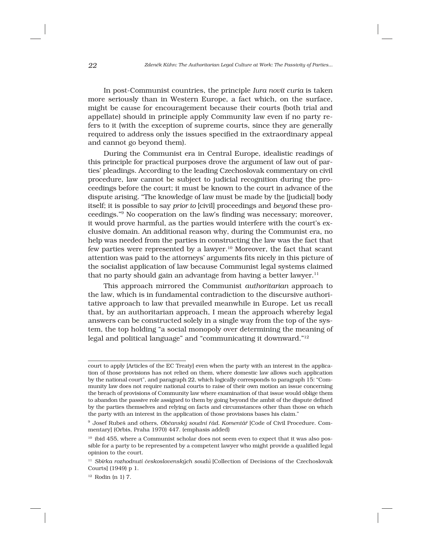In post-Communist countries, the principle *Iura novit curia* is taken more seriously than in Western Europe, a fact which, on the surface, might be cause for encouragement because their courts (both trial and appellate) should in principle apply Community law even if no party refers to it (with the exception of supreme courts, since they are generally required to address only the issues specified in the extraordinary appeal and cannot go beyond them).

During the Communist era in Central Europe, idealistic readings of this principle for practical purposes drove the argument of law out of parties' pleadings. According to the leading Czechoslovak commentary on civil procedure, law cannot be subject to judicial recognition during the proceedings before the court; it must be known to the court in advance of the dispute arising. "The knowledge of law must be made by the [judicial] body itself; it is possible to say *prior to* [civil] proceedings and *beyond* these proceedings."<sup>9</sup> No cooperation on the law's finding was necessary; moreover, it would prove harmful, as the parties would interfere with the court's exclusive domain. An additional reason why, during the Communist era, no help was needed from the parties in constructing the law was the fact that few parties were represented by a lawyer.<sup>10</sup> Moreover, the fact that scant attention was paid to the attorneys' arguments fits nicely in this picture of the socialist application of law because Communist legal systems claimed that no party should gain an advantage from having a better lawyer. $11$ 

This approach mirrored the Communist *authoritarian* approach to the law, which is in fundamental contradiction to the discursive authoritative approach to law that prevailed meanwhile in Europe. Let us recall that, by an authoritarian approach, I mean the approach whereby legal answers can be constructed solely in a single way from the top of the system, the top holding "a social monopoly over determining the meaning of legal and political language" and "communicating it downward."<sup>12</sup>

court to apply [Articles of the EC Treaty] even when the party with an interest in the application of those provisions has not relied on them, where domestic law allows such application by the national court", and paragraph 22, which logically corresponds to paragraph 15: "Community law does not require national courts to raise of their own motion an issue concerning the breach of provisions of Community law where examination of that issue would oblige them to abandon the passive role assigned to them by going beyond the ambit of the dispute defined by the parties themselves and relying on facts and circumstances other than those on which the party with an interest in the application of those provisions bases his claim."

 $^9$  Josef Rubeš and others, *Občanský soudní řád. Komentář* [Code of Civil Procedure. Commentary] (Orbis, Praha 1970) 447. (emphasis added)

<sup>&</sup>lt;sup>10</sup> ibid 455, where a Communist scholar does not seem even to expect that it was also possible for a party to be represented by a competent lawyer who might provide a qualified legal opinion to the court.

<sup>&</sup>lt;sup>11</sup> Sbírka rozhodnutí československých soudů<sup>†</sup> [Collection of Decisions of the Czechoslovak Courts] (1949) p 1.

<sup>12</sup> Rodin (n 1) 7.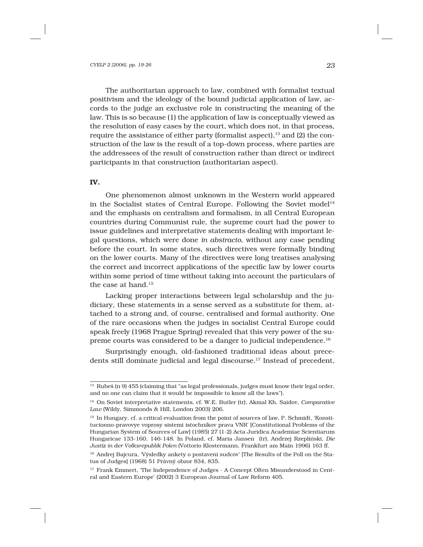The authoritarian approach to law, combined with formalist textual positivism and the ideology of the bound judicial application of law, accords to the judge an exclusive role in constructing the meaning of the law. This is so because (1) the application of law is conceptually viewed as the resolution of easy cases by the court, which does not, in that process, require the assistance of either party (formalist aspect),<sup>13</sup> and (2) the construction of the law is the result of a top-down process, where parties are the addressees of the result of construction rather than direct or indirect participants in that construction (authoritarian aspect).

### IV.

One phenomenon almost unknown in the Western world appeared in the Socialist states of Central Europe. Following the Soviet model<sup>14</sup> and the emphasis on centralism and formalism, in all Central European countries during Communist rule, the supreme court had the power to issue guidelines and interpretative statements dealing with important legal questions, which were done *in abstracto*, without any case pending before the court. In some states, such directives were formally binding on the lower courts. Many of the directives were long treatises analysing the correct and incorrect applications of the specific law by lower courts within some period of time without taking into account the particulars of the case at hand.<sup>15</sup>

Lacking proper interactions between legal scholarship and the judiciary, these statements in a sense served as a substitute for them, attached to a strong and, of course, centralised and formal authority. One of the rare occasions when the judges in socialist Central Europe could speak freely (1968 Prague Spring) revealed that this very power of the supreme courts was considered to be a danger to judicial independence.<sup>16</sup>

Surprisingly enough, old-fashioned traditional ideas about precedents still dominate judicial and legal discourse.<sup>17</sup> Instead of precedent,

<sup>&</sup>lt;sup>13</sup> Rubeš (n 9) 455 (claiming that "as legal professionals, judges must know their legal order, and no one can claim that it would be impossible to know all the laws").

<sup>14</sup> On Soviet interpretative statements, cf. W.E. Butler (tr), Akmal Kh. Saidov, *Comparative Law* (Wildy, Simmonds & Hill, London 2003) 206.

<sup>&</sup>lt;sup>15</sup> In Hungary, cf. a critical evaluation from the point of sources of law, P. Schmidt, 'Konstitucionno-pravovye voprosy sistemi istochnikov prava VNR' [Constitutional Problems of the Hungarian System of Sources of Law] (1985) 27 (1-2) Acta Juridica Academiae Scientiarum Hungaricae 133-160, 146-148. In Poland, cf. Maria Jansen (tr), Andrzej Rzeplin´ski, *Die Justiz in der Volksrepublik Polen* (Vottorio Klostermann, Frankfurt am Main 1996) 163 ff.

<sup>&</sup>lt;sup>16</sup> Andrej Bajcura, 'Výsledky ankety o postavení sudcov' [The Results of the Poll on the Status of Judges] (1968) 51 Právný obzor 834, 835.

<sup>&</sup>lt;sup>17</sup> Frank Emmert, 'The Independence of Judges - A Concept Often Misunderstood in Central and Eastern Europe' (2002) 3 European Journal of Law Reform 405.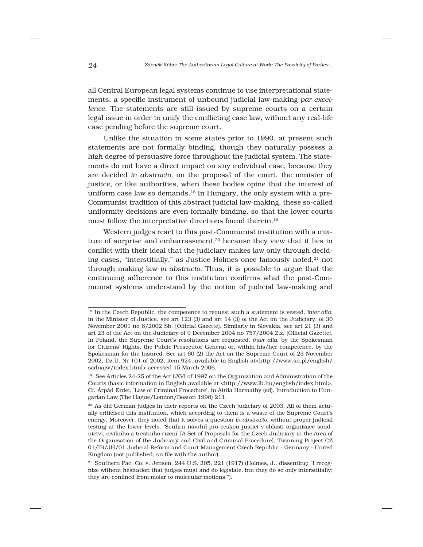all Central European legal systems continue to use interpretational statements, a specific instrument of unbound judicial law-making *par excellence*. The statements are still issued by supreme courts on a certain legal issue in order to unify the conflicting case law, without any real-life case pending before the supreme court.

Unlike the situation in some states prior to 1990, at present such statements are not formally binding, though they naturally possess a high degree of persuasive force throughout the judicial system. The statements do not have a direct impact on any individual case, because they are decided *in abstracto*, on the proposal of the court, the minister of justice, or like authorities, when these bodies opine that the interest of uniform case law so demands.<sup>18</sup> In Hungary, the only system with a pre-Communist tradition of this abstract judicial law-making, these so-called uniformity decisions are even formally binding, so that the lower courts must follow the interpretative directions found therein.<sup>19</sup>

Western judges react to this post-Communist institution with a mixture of surprise and embarrassment,<sup>20</sup> because they view that it lies in conflict with their ideal that the judiciary makes law only through deciding cases, "interstitially," as Justice Holmes once famously noted, $2<sup>1</sup>$  not through making law *in abstracto*. Thus, it is possible to argue that the continuing adherence to this institution confirms what the post-Communist systems understand by the notion of judicial law-making and

<sup>18</sup> In the Czech Republic, the competence to request such a statement is vested, *inter alia*, in the Minister of Justice, see art 123 (3) and art 14 (3) of the Act on the Judiciary, of 30 November 2001 no 6/2002 Sb. [Official Gazette]. Similarly in Slovakia, see art 21 (3) and art 23 of the Act on the Judiciary of 9 December 2004 no 757/2004 Z.z. [Official Gazette]. In Poland, the Supreme Court's resolutions are requested, *inter alia*, by the Spokesman for Citizens' Rights, the Public Prosecutor General or, within his/her competence, by the Spokesman for the Insured. See art 60 (2) the Act on the Supreme Court of 23 November 2002, Dz.U. Nr 101 of 2002, item 924, available in English at<http://www.sn.pl/english/ sadnajw/index.html> accessed 15 March 2006.

<sup>19</sup> See Articles 24-25 of the Act LXVI of 1997 on the Organization and Administration of the Courts (basic information in English available at <http://www.lb.hu/english/index.html>. Cf. Árpád Erdei, 'Law of Criminal Procedure', in Attila Harmathy (ed), Introduction to Hungarian Law (The Hague/London/Boston 1998) 211.

<sup>&</sup>lt;sup>20</sup> As did German judges in their reports on the Czech judiciary of 2003. All of them actually criticised this institution, which according to them is a waste of the Supreme Court's energy. Moreover, they noted that it solves a question *in abstracto*, without proper judicial testing at the lower levels. 'Souhrn návrh*ů* pro českou justici v oblasti organizace soudnictví, civilního a trestního řízení' [A Set of Proposals for the Czech Judiciary in the Area of the Organisation of the Judiciary and Civil and Criminal Procedure], Twinning Project CZ 01/IB/JH/01 Judicial Reform and Court Management Czech Republic - Germany - United Kingdom (not published, on file with the author).

<sup>21</sup> Southern Pac. Co. v. Jensen, 244 U.S. 205, 221 (1917) (Holmes, J., dissenting: "I recognize without hesitation that judges must and do legislate, but they do so only interstitially; they are confined from molar to molecular motions.").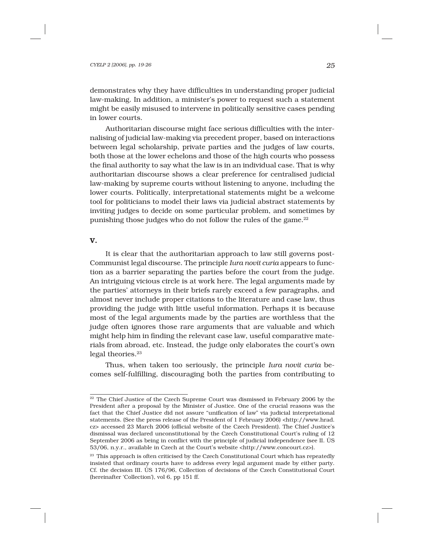demonstrates why they have difficulties in understanding proper judicial law-making. In addition, a minister's power to request such a statement might be easily misused to intervene in politically sensitive cases pending in lower courts.

Authoritarian discourse might face serious difficulties with the internalising of judicial law-making via precedent proper, based on interactions between legal scholarship, private parties and the judges of law courts, both those at the lower echelons and those of the high courts who possess the final authority to say what the law is in an individual case. That is why authoritarian discourse shows a clear preference for centralised judicial law-making by supreme courts without listening to anyone, including the lower courts. Politically, interpretational statements might be a welcome tool for politicians to model their laws via judicial abstract statements by inviting judges to decide on some particular problem, and sometimes by punishing those judges who do not follow the rules of the game.<sup>22</sup>

# V.

It is clear that the authoritarian approach to law still governs post-Communist legal discourse. The principle *Iura novit curia* appears to function as a barrier separating the parties before the court from the judge. An intriguing vicious circle is at work here. The legal arguments made by the parties' attorneys in their briefs rarely exceed a few paragraphs, and almost never include proper citations to the literature and case law, thus providing the judge with little useful information. Perhaps it is because most of the legal arguments made by the parties are worthless that the judge often ignores those rare arguments that are valuable and which might help him in finding the relevant case law, useful comparative materials from abroad, etc. Instead, the judge only elaborates the court's own legal theories.<sup>23</sup>

Thus, when taken too seriously, the principle *Iura novit curia* becomes self-fulfilling, discouraging both the parties from contributing to

<sup>&</sup>lt;sup>22</sup> The Chief Justice of the Czech Supreme Court was dismissed in February 2006 by the President after a proposal by the Minister of Justice. One of the crucial reasons was the fact that the Chief Justice did not assure "unification of law" via judicial interpretational statements. (See the press release of the President of 1 February 2006) <http://www.hrad. cz> accessed 23 March 2006 (official website of the Czech President). The Chief Justice's dismissal was declared unconstitutional by the Czech Constitutional Court's ruling of 12 September 2006 as being in conflict with the principle of judicial independence (see II. ÚS 53/06, n.y.r., available in Czech at the Court's website <http://www.concourt.cz>).

<sup>&</sup>lt;sup>23</sup> This approach is often criticised by the Czech Constitutional Court which has repeatedly insisted that ordinary courts have to address every legal argument made by either party. Cf. the decision III. ÚS 176/96, Collection of decisions of the Czech Constitutional Court (hereinafter 'Collection'), vol 6, pp 151 ff.